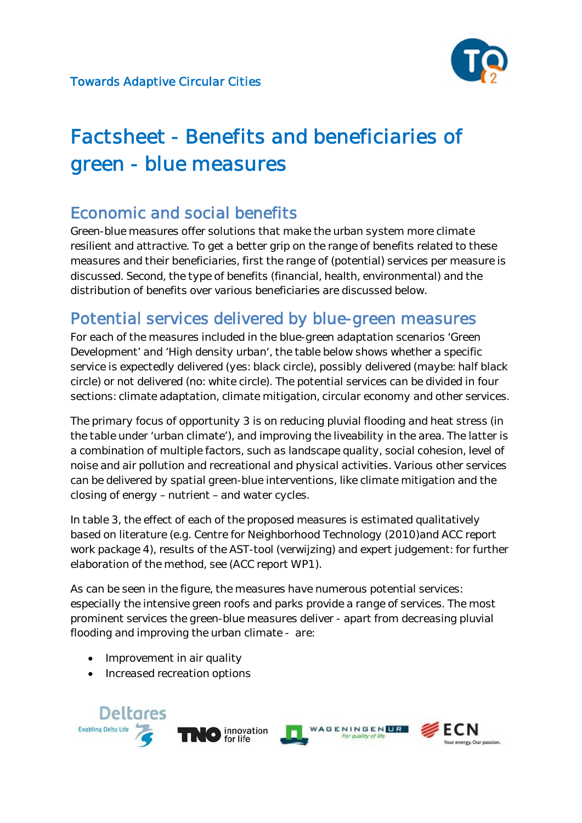

# Factsheet - Benefits and beneficiaries of green - blue measures

# Economic and social benefits

Green-blue measures offer solutions that make the urban system more climate resilient and attractive. To get a better grip on the range of benefits related to these measures and their beneficiaries, first the range of (potential) services per measure is discussed. Second, the type of benefits (financial, health, environmental) and the distribution of benefits over various beneficiaries are discussed below.

# Potential services delivered by blue-green measures

For each of the measures included in the blue-green adaptation scenarios 'Green Development' and 'High density urban', the table below shows whether a specific service is expectedly delivered (yes: black circle), possibly delivered (maybe: half black circle) or not delivered (no: white circle). The potential services can be divided in four sections: climate adaptation, climate mitigation, circular economy and other services.

The primary focus of opportunity 3 is on reducing pluvial flooding and heat stress (in the table under 'urban climate'), and improving the liveability in the area. The latter is a combination of multiple factors, such as landscape quality, social cohesion, level of noise and air pollution and recreational and physical activities. Various other services can be delivered by spatial green-blue interventions, like climate mitigation and the closing of energy – nutrient – and water cycles.

In table 3, the effect of each of the proposed measures is estimated qualitatively based on literature (e.g. Centre for Neighborhood Technology (2010)and ACC report work package 4), results of the AST-tool (verwijzing) and expert judgement: for further elaboration of the method, see (ACC report WP1).

As can be seen in the figure, the measures have numerous potential services: especially the intensive green roofs and parks provide a range of services. The most prominent services the green-blue measures deliver - apart from decreasing pluvial flooding and improving the urban climate - are:

- Improvement in air quality
- Increased recreation options

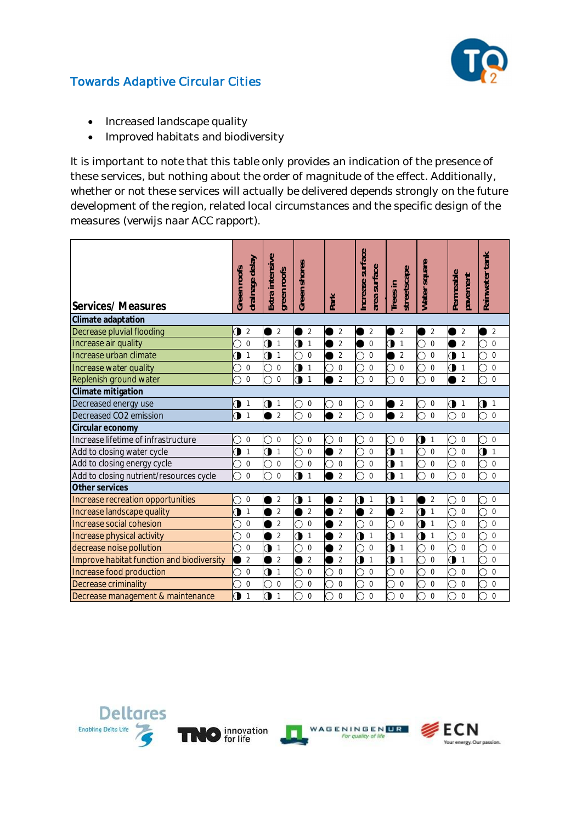

- Increased landscape quality
- Improved habitats and biodiversity

It is important to note that this table only provides an indication of the presence of these services, but nothing about the order of magnitude of the effect. Additionally, whether or not these services will actually be delivered depends strongly on the future development of the region, related local circumstances and the specific design of the measures (verwijs naar ACC rapport).

| Services/Measures                         | Green roofs | drainage delay | Extra intensive | green roofs    | Green shores |                | Park |                | Increase surface | area surface     | Trees in                | streetscape    | Water square |                | Permeable          | pavement       | Rainwater tank              |
|-------------------------------------------|-------------|----------------|-----------------|----------------|--------------|----------------|------|----------------|------------------|------------------|-------------------------|----------------|--------------|----------------|--------------------|----------------|-----------------------------|
| Climate adaptation                        |             |                |                 |                |              |                |      |                |                  |                  |                         |                |              |                |                    |                |                             |
| Decrease pluvial flooding                 |             | $\sqrt{2}$     |                 | $\overline{2}$ |              | $\overline{2}$ |      | $\overline{2}$ |                  | 2                |                         | $\overline{2}$ |              | $\overline{2}$ |                    | $\overline{2}$ | $\overline{2}$              |
| Increase air quality                      | า           | $\Omega$       | O               | $\mathbf{1}$   | 0            | $\mathbf{1}$   |      | $\overline{2}$ |                  | $\mathbf 0$      | Ò                       | $\mathbf{1}$   | О            | $\overline{0}$ |                    | $\overline{2}$ | Ō<br>$\overline{0}$         |
| Increase urban climate                    |             | 1              | ◑               | $\mathbf{1}$   | ∋            | $\Omega$       |      | $\overline{2}$ | ∩                | $\mathbf 0$      |                         | $\overline{2}$ |              | $\mathbf 0$    | $\bullet$          | $\mathbf{1}$   | $\mathbf 0$<br>∩            |
| Increase water quality                    |             | $\overline{0}$ |                 | $\overline{0}$ | 0            | $\mathbf{1}$   |      | $\mathbf 0$    | C                | $\overline{0}$   | ◯                       | $\overline{0}$ |              | $\overline{0}$ | ◑                  | $\mathbf{1}$   | O<br>$\mathbf 0$            |
| Replenish ground water                    |             | $\overline{0}$ |                 | $\mathbf 0$    | Э            | $\mathbf{1}$   |      | $\overline{2}$ | ∩                | $\Omega$         |                         | $\Omega$       |              | $\Omega$       |                    | $\overline{2}$ | $\mathbf 0$<br>O            |
| Climate mitigation                        |             |                |                 |                |              |                |      |                |                  |                  |                         |                |              |                |                    |                |                             |
| Decreased energy use                      | ◑           | $\mathbf{1}$   | ◑               | $\mathbf{1}$   | O            | 0              |      | $\mathbf 0$    | ◡                | 0                |                         | 2              | Ċ            | $\mathbf 0$    | $\bullet$          | $\mathbf{1}$   | ◑<br>$\overline{1}$         |
| Decreased CO2 emission                    | O           | $\overline{1}$ |                 | $\overline{2}$ | ่า           | $\Omega$       |      | $\overline{2}$ | C                | $\Omega$         |                         | $\overline{2}$ |              | $\Omega$       | Ó                  | $\Omega$       | ∩<br>$\Omega$               |
| Circular economy                          |             |                |                 |                |              |                |      |                |                  |                  |                         |                |              |                |                    |                |                             |
| Increase lifetime of infrastructure       |             | $\mathbf 0$    | 0               | $\mathbf 0$    | D            | $\mathbf 0$    |      | $\mathbf 0$    | 9                | $\boldsymbol{0}$ | O                       | $\mathbf 0$    | $\bullet$    | $\mathbf{1}$   | О                  | 0              | $\mathbf 0$<br>O            |
| Add to closing water cycle                |             | $\mathbf{1}$   | O               | $\overline{1}$ | Ō            | $\Omega$       |      | $\overline{2}$ |                  | $\Omega$         | $\overline{\mathbf{0}}$ | $\mathbf{1}$   |              | $\Omega$       | $\overline{\circ}$ | $\Omega$       | $\mathbf 0$<br>$\mathbf{1}$ |
| Add to closing energy cycle               | ∋           | $\mathbf 0$    | O               | $\mathbf 0$    | ∋            | $\mathbf 0$    |      | 0              | D                | $\boldsymbol{0}$ | 0                       | $\mathbf{1}$   |              | 0              | O                  | 0              | 0<br>O                      |
| Add to closing nutrient/resources cycle   | Ō           | $\Omega$       |                 | $\theta$       | $\bullet$    | $\mathbf{1}$   |      | $\overline{2}$ | Ō                | $\Omega$         | $\bullet$               | $\overline{1}$ |              | $\Omega$       | $\circ$            | $\Omega$       | Ō<br>$\Omega$               |
| Other services                            |             |                |                 |                |              |                |      |                |                  |                  |                         |                |              |                |                    |                |                             |
| Increase recreation opportunities         | D           | $\mathbf 0$    |                 | $\overline{2}$ | Э            | 1              |      | $\overline{2}$ | ◑                | $\mathbf{1}$     | ◑                       | $\mathbf{1}$   |              | $\overline{2}$ | О                  | 0              | $\mathbf 0$<br>O            |
| Increase landscape quality                |             | $\mathbf{1}$   |                 | $\overline{2}$ |              | $\overline{2}$ |      | $\overline{2}$ |                  | $\overline{2}$   |                         | $\overline{2}$ | $\mathbf 0$  | $\mathbf{1}$   | O                  | $\Omega$       | $\mathbf 0$                 |
| Increase social cohesion                  | ว           | $\overline{0}$ |                 | $\overline{2}$ | O            | $\Omega$       |      | $\overline{2}$ | Ō                | $\Omega$         | €                       | $\Omega$       | $\bullet$    | $\overline{1}$ | Ō                  | $\Omega$       | Ō<br>$\mathbf 0$            |
| Increase physical activity                |             | $\overline{0}$ |                 | $\overline{2}$ | э            | 1              |      | $\overline{2}$ | ◑                | $\mathbf{1}$     | ◑                       | $\mathbf{1}$   | $\bullet$    | $\mathbf{1}$   | O                  | $\Omega$       | О<br>$\mathbf 0$            |
| decrease noise pollution                  | ŋ           | $\overline{0}$ | O               | $\mathbf{1}$   | า            | $\mathbf 0$    |      | $\overline{2}$ | ∩                | $\Omega$         | ◑                       | $\mathbf{1}$   |              | $\mathbf 0$    | О                  | $\overline{0}$ | $\overline{0}$<br>O         |
| Improve habitat function and biodiversity |             | $\overline{2}$ |                 | $\overline{2}$ |              | $\overline{2}$ |      | $\overline{2}$ | 0                | $\mathbf{1}$     | Э                       | $\mathbf{1}$   |              | $\mathbf 0$    | $\mathbf 0$        | 1              | O<br>$\mathbf 0$            |
| Increase food production                  |             | $\mathbf 0$    | ◑               | $\mathbf{1}$   | ∋            | 0              |      | $\mathbf 0$    |                  | $\mathbf 0$      |                         | $\mathbf 0$    |              | $\mathbf 0$    | Э                  | $\mathbf 0$    | $\overline{0}$<br>O         |
| Decrease criminality                      |             | $\overline{0}$ |                 | $\mathbf 0$    |              | $\Omega$       |      | $\mathbf 0$    |                  | $\overline{0}$   |                         | $\mathbf 0$    |              | $\Omega$       | Э                  | $\mathbf 0$    | $\mathbf 0$                 |
| Decrease management & maintenance         | O           | $\mathbf{1}$   | 0               | $\mathbf{1}$   | 7            | $\mathbf 0$    |      | $\overline{0}$ |                  | $\overline{0}$   |                         | $\overline{0}$ |              | $\mathbf 0$    | O                  | $\overline{0}$ | $\mathbf 0$                 |







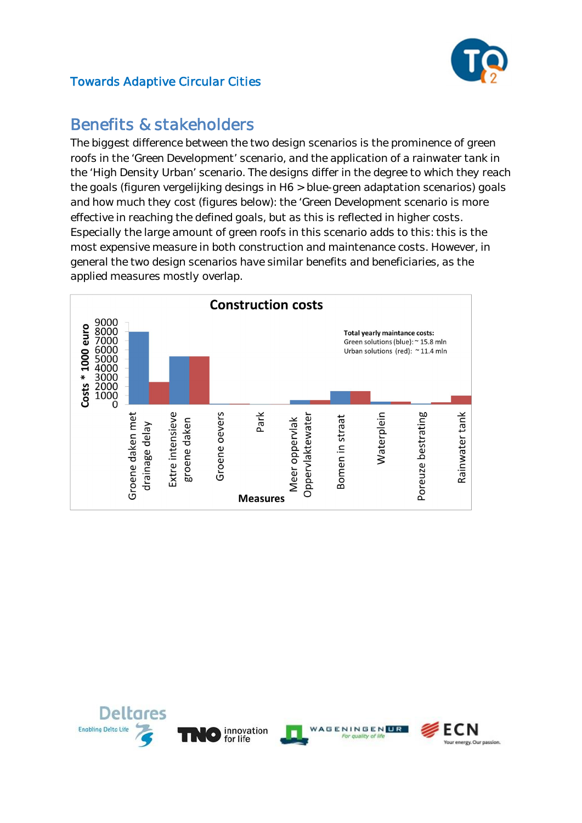

# Benefits & stakeholders

The biggest difference between the two design scenarios is the prominence of green roofs in the 'Green Development' scenario, and the application of a rainwater tank in the 'High Density Urban' scenario. The designs differ in the degree to which they reach the goals (figuren vergelijking desings in H6 > blue-green adaptation scenarios) goals and how much they cost (figures below): the 'Green Development scenario is more effective in reaching the defined goals, but as this is reflected in higher costs. Especially the large amount of green roofs in this scenario adds to this: this is the most expensive measure in both construction and maintenance costs. However, in general the two design scenarios have similar benefits and beneficiaries, as the applied measures mostly overlap.



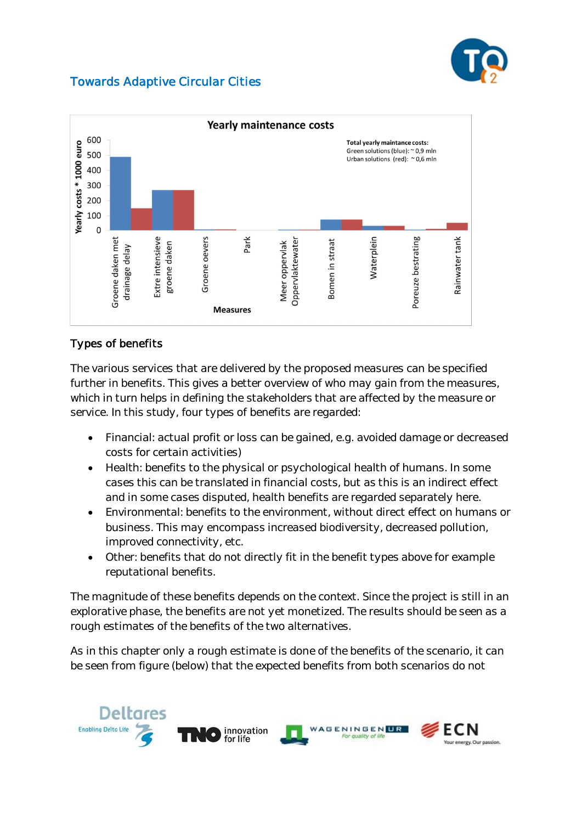



### Types of benefits

The various services that are delivered by the proposed measures can be specified further in benefits. This gives a better overview of who may gain from the measures, which in turn helps in defining the stakeholders that are affected by the measure or service. In this study, four types of benefits are regarded:

- **•** Financial: actual profit or loss can be gained, e.g. avoided damage or decreased costs for certain activities)
- x *Health:* benefits to the physical or psychological health of humans. In some cases this can be translated in financial costs, but as this is an indirect effect and in some cases disputed, health benefits are regarded separately here.
- x *Environmental:* benefits to the environment, without direct effect on humans or business. This may encompass increased biodiversity, decreased pollution, improved connectivity, etc.
- Other: benefits that do not directly fit in the benefit types above for example reputational benefits.

The magnitude of these benefits depends on the context. Since the project is still in an explorative phase, the benefits are not yet monetized. The results should be seen as a rough estimates of the benefits of the two alternatives.

As in this chapter only a rough estimate is done of the benefits of the scenario, it can be seen from figure (below) that the expected benefits from both scenarios do not

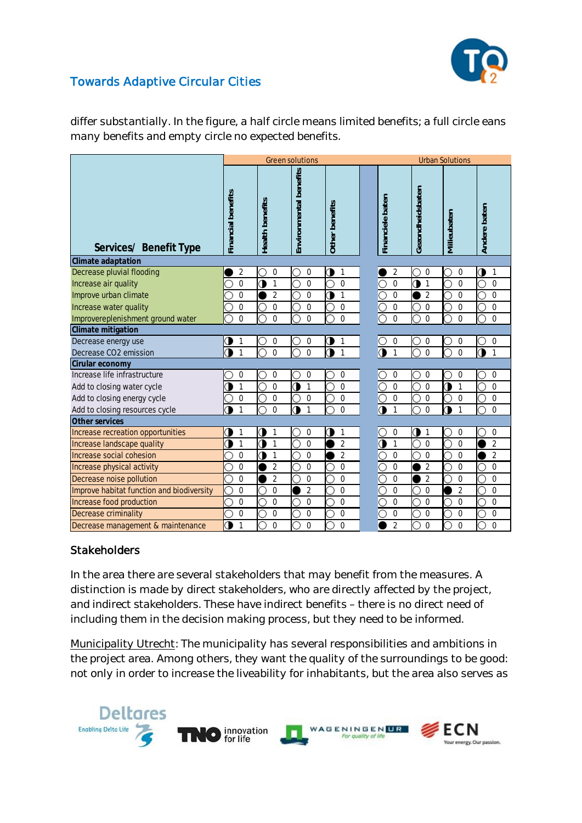

differ substantially. In the figure, a half circle means *limited benefits*; a full circle eans *many benefits* and empty circle *no expected benefits*.

|                                           |                    |                 | <b>Green solutions</b> |                | <b>Urban Solutions</b> |                           |                    |                   |                   |  |  |
|-------------------------------------------|--------------------|-----------------|------------------------|----------------|------------------------|---------------------------|--------------------|-------------------|-------------------|--|--|
| Services/ Benefit Type                    | Financial benefits | Health benefits | Environmental benefits | Other benefits |                        | Financiele baten          | Gezondheidsbaten   | Milieubaten       | Andere baten      |  |  |
| Climate adaptation                        |                    |                 |                        |                |                        |                           |                    |                   |                   |  |  |
| Decrease pluvial flooding                 | $\overline{2}$     | $\mathbf 0$     | 0                      | ◑<br>1         |                        | 2                         | $\mathbf 0$        | 0                 | ◑<br>1            |  |  |
| Increase air quality                      | $\overline{0}$     | 0<br>1          | $\overline{0}$         | $\Omega$       |                        | Ō<br>$\Omega$             | ◑<br>$\mathbf{1}$  | $\Omega$          | $\Omega$          |  |  |
| Improve urban climate                     | $\overline{0}$     | $\overline{2}$  | $\Omega$               | O<br>1         |                        | O<br>$\Omega$             | $\overline{2}$     | $\Omega$          | $\Omega$          |  |  |
| Increase water quality                    | 0                  | 0               | $\mathbf 0$            | 0              |                        | О<br>0                    | $\boldsymbol{0}$   | 0                 | $\mathbf 0$       |  |  |
| Improvereplenishment ground water         | $\Omega$           | $\Omega$        | $\Omega$               | $\Omega$       |                        | Ō<br>$\Omega$             | $\Omega$           | $\Omega$          | $\mathbf 0$       |  |  |
| Climate mitigation                        |                    |                 |                        |                |                        |                           |                    |                   |                   |  |  |
| Decrease energy use                       | 1                  | 0               | $\overline{0}$         | ◑<br>1         |                        | 0<br>O                    | $\mathbf 0$        | $\overline{0}$    | $\overline{0}$    |  |  |
| Decrease CO2 emission                     | $\mathbf{1}$       | 0               | $\overline{0}$         | 0<br>1         |                        | $\bullet$<br>1            | $\overline{0}$     | $\Omega$          | ъ<br>$\mathbf{1}$ |  |  |
| Cirular economy                           |                    |                 |                        |                |                        |                           |                    |                   |                   |  |  |
| Increase life infrastructure              | 0                  | 0               | $\mathbf 0$            | 0              |                        | 0                         | 0                  | $\mathbf 0$       | $\mathbf 0$       |  |  |
| Add to closing water cycle                | 1                  | $\overline{0}$  | Э<br>1                 | $\mathbf 0$    |                        | Ō<br>$\mathbf 0$          | $\overline{0}$     | 1<br>0            | $\mathbf 0$       |  |  |
| Add to closing energy cycle               | 0                  | 0               | $\mathbf 0$            | 0              |                        | О<br>0                    | $\mathbf 0$        | $\mathbf 0$       | $\mathbf 0$       |  |  |
| Add to closing resources cycle            | 1                  | $\Omega$        | Э<br>1                 | $\Omega$       |                        | $\bullet$<br>1            | $\Omega$           | 0<br>$\mathbf{1}$ | $\Omega$          |  |  |
| Other services                            |                    |                 |                        |                |                        |                           |                    |                   |                   |  |  |
| Increase recreation opportunities         | 1                  | 9<br>1          | 0                      | Э<br>1         |                        | O<br>0                    | О.<br>$\mathbf{1}$ | 0                 | 0                 |  |  |
| Increase landscape quality                | $\mathbf{1}$<br>э  | ◑<br>1          | $\overline{0}$         | $\overline{2}$ |                        | $\bullet$<br>$\mathbf{1}$ | $\overline{0}$     | $\mathbf 0$       | $\overline{2}$    |  |  |
| Increase social cohesion                  | 0                  | 0<br>1          | 0                      | $\overline{2}$ |                        | Ō<br>$\mathbf 0$          | $\overline{0}$     | $\mathbf 0$       | 2                 |  |  |
| Increase physical activity                | $\overline{0}$     | $\overline{2}$  | $\overline{0}$         | $\overline{0}$ |                        | О<br>$\mathbf 0$          | $\overline{2}$     | $\Omega$          | $\mathbf 0$       |  |  |
| Decrease noise pollution                  | $\overline{0}$     | $\overline{2}$  | 0                      | 0              |                        | C<br>$\overline{0}$       | $\overline{2}$     | $\mathbf 0$       | $\mathbf 0$       |  |  |
| Improve habitat function and biodiversity | $\overline{0}$     | $\overline{0}$  | $\overline{2}$         | $\Omega$       |                        | Ō<br>$\overline{0}$       | $\mathbf{0}$       | $\overline{2}$    | $\Omega$          |  |  |
| Increase food production                  | $\overline{0}$     | $\Omega$        | $\overline{0}$         | $\overline{0}$ |                        | О<br>$\mathbf 0$          | $\Omega$           | $\Omega$          | $\mathbf 0$       |  |  |
| Decrease criminality                      | $\mathbf 0$        | 0               | 0                      | 0              |                        | О<br>0                    | 0                  | $\overline{0}$    | $\mathbf 0$       |  |  |
| Decrease management & maintenance         | ◑<br>$\mathbf{1}$  | 0               | $\mathbf 0$            | $\Omega$       |                        | $\overline{2}$            | $\Omega$           | $\Omega$          | $\Omega$          |  |  |

#### **Stakeholders**

In the area there are several stakeholders that may benefit from the measures. A distinction is made by *direct stakeholders*, who are directly affected by the project, and *indirect stakeholders*. These have indirect benefits – there is no direct need of including them in the decision making process, but they need to be informed.

Municipality Utrecht: The municipality has several responsibilities and ambitions in the project area. Among others, they want the quality of the surroundings to be good: not only in order to increase the liveability for inhabitants, but the area also serves as

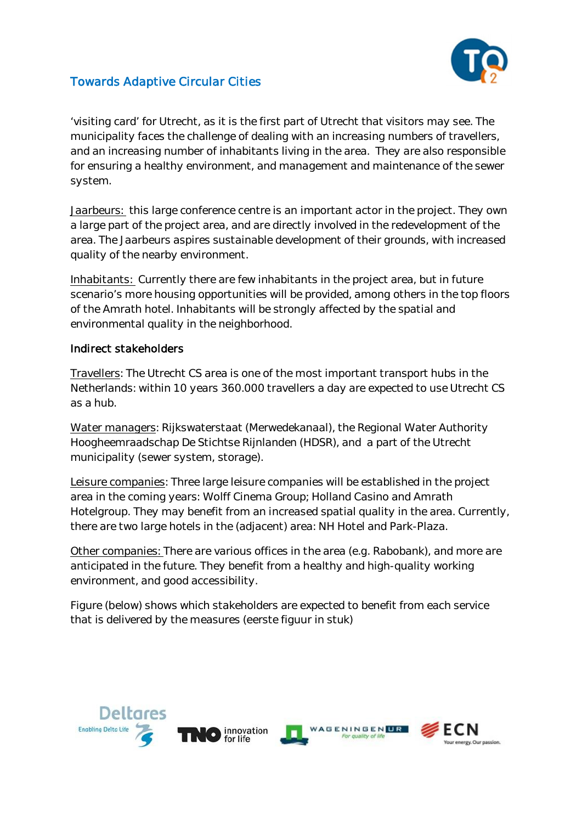

'visiting card' for Utrecht, as it is the first part of Utrecht that visitors may see. The municipality faces the challenge of dealing with an increasing numbers of travellers, and an increasing number of inhabitants living in the area. They are also responsible for ensuring a healthy environment, and management and maintenance of the sewer system.

Jaarbeurs: this large conference centre is an important actor in the project. They own a large part of the project area, and are directly involved in the redevelopment of the area. The Jaarbeurs aspires sustainable development of their grounds, with increased quality of the nearby environment.

Inhabitants: Currently there are few inhabitants in the project area, but in future scenario's more housing opportunities will be provided, among others in the top floors of the Amrath hotel. Inhabitants will be strongly affected by the spatial and environmental quality in the neighborhood.

#### Indirect stakeholders

Travellers: The Utrecht CS area is one of the most important transport hubs in the Netherlands: within 10 years 360.000 travellers a day are expected to use Utrecht CS as a hub.

Water managers: Rijkswaterstaat (Merwedekanaal), the Regional Water Authority Hoogheemraadschap De Stichtse Rijnlanden (HDSR), and a part of the Utrecht municipality (sewer system, storage).

Leisure companies: Three large leisure companies will be established in the project area in the coming years: Wolff Cinema Group; Holland Casino and Amrath Hotelgroup. They may benefit from an increased spatial quality in the area. Currently, there are two large hotels in the (adjacent) area: NH Hotel and Park-Plaza.

Other companies: There are various offices in the area (e.g. Rabobank), and more are anticipated in the future. They benefit from a healthy and high-quality working environment, and good accessibility.

Figure (below) shows which stakeholders are expected to benefit from each service that is delivered by the measures (eerste figuur in stuk)

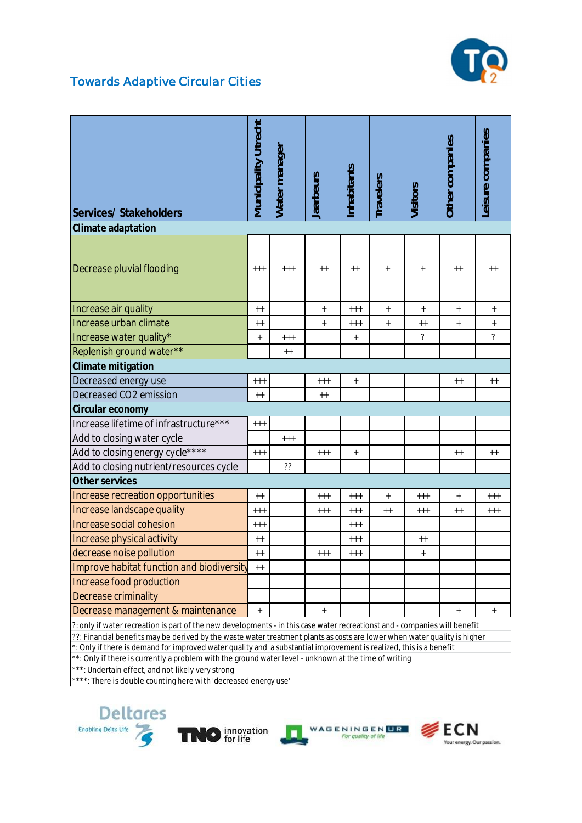

| Services/ Stakeholders                                                                                                                                                                                                                                                                                                                                                                                                                                                                                                                                                                                         | Municipality Utrecht | Water manager | aarbeurs  | nhabitants       | ravelers                         | Visitors                 | Other companies                  | Leisure companies        |  |  |
|----------------------------------------------------------------------------------------------------------------------------------------------------------------------------------------------------------------------------------------------------------------------------------------------------------------------------------------------------------------------------------------------------------------------------------------------------------------------------------------------------------------------------------------------------------------------------------------------------------------|----------------------|---------------|-----------|------------------|----------------------------------|--------------------------|----------------------------------|--------------------------|--|--|
| Climate adaptation                                                                                                                                                                                                                                                                                                                                                                                                                                                                                                                                                                                             |                      |               |           |                  |                                  |                          |                                  |                          |  |  |
| Decrease pluvial flooding                                                                                                                                                                                                                                                                                                                                                                                                                                                                                                                                                                                      | $^{+++}$             | $^{+++}$      | $++$      | $++$             | $^{+}$                           | $^{+}$                   | $++$                             | $++$                     |  |  |
| Increase air quality                                                                                                                                                                                                                                                                                                                                                                                                                                                                                                                                                                                           | $++$                 |               | $\ddot{}$ | $^{++}$          | $\begin{array}{c} + \end{array}$ | $^{+}$                   | $^+$                             | $^{+}$                   |  |  |
| Increase urban climate                                                                                                                                                                                                                                                                                                                                                                                                                                                                                                                                                                                         | $++$                 |               | $\ddot{}$ | $^{+++}$         | $^+$                             | $++$                     | $\begin{array}{c} + \end{array}$ | $^+$                     |  |  |
| Increase water quality*                                                                                                                                                                                                                                                                                                                                                                                                                                                                                                                                                                                        | $^{+}$               | $++++$        |           | $^{\mathrm{+}}$  |                                  | $\overline{\phantom{a}}$ |                                  | $\overline{\mathcal{C}}$ |  |  |
| Replenish ground water**                                                                                                                                                                                                                                                                                                                                                                                                                                                                                                                                                                                       |                      | $++$          |           |                  |                                  |                          |                                  |                          |  |  |
| Climate mitigation                                                                                                                                                                                                                                                                                                                                                                                                                                                                                                                                                                                             |                      |               |           |                  |                                  |                          |                                  |                          |  |  |
| Decreased energy use                                                                                                                                                                                                                                                                                                                                                                                                                                                                                                                                                                                           | $^{++}$              |               | $^{+++}$  | $\ddag$          |                                  |                          | $++$                             | $^{++}$                  |  |  |
| Decreased CO2 emission                                                                                                                                                                                                                                                                                                                                                                                                                                                                                                                                                                                         | $++$                 |               | $++$      |                  |                                  |                          |                                  |                          |  |  |
| Circular economy                                                                                                                                                                                                                                                                                                                                                                                                                                                                                                                                                                                               |                      |               |           |                  |                                  |                          |                                  |                          |  |  |
| Increase lifetime of infrastructure***                                                                                                                                                                                                                                                                                                                                                                                                                                                                                                                                                                         | $^{+++}$             |               |           |                  |                                  |                          |                                  |                          |  |  |
| Add to closing water cycle                                                                                                                                                                                                                                                                                                                                                                                                                                                                                                                                                                                     |                      | $++++$        |           |                  |                                  |                          |                                  |                          |  |  |
| Add to closing energy cycle****                                                                                                                                                                                                                                                                                                                                                                                                                                                                                                                                                                                | $^{++}$              |               | $^{+++}$  | $\boldsymbol{+}$ |                                  |                          | $++$                             | $++$                     |  |  |
| Add to closing nutrient/resources cycle                                                                                                                                                                                                                                                                                                                                                                                                                                                                                                                                                                        |                      | $\gamma$      |           |                  |                                  |                          |                                  |                          |  |  |
| Other services                                                                                                                                                                                                                                                                                                                                                                                                                                                                                                                                                                                                 |                      |               |           |                  |                                  |                          |                                  |                          |  |  |
| Increase recreation opportunities                                                                                                                                                                                                                                                                                                                                                                                                                                                                                                                                                                              | $++$                 |               | $++++$    | $***$            | $\ddot{}$                        | $+++$                    | $\ddot{}$                        | $++++$                   |  |  |
| Increase landscape quality                                                                                                                                                                                                                                                                                                                                                                                                                                                                                                                                                                                     | $^{+++}$             |               | $+++$     | $^{+++}$         | $++$                             | $^{+++}$                 | $++$                             | $^{+++}$                 |  |  |
| <b>Increase social cohesion</b>                                                                                                                                                                                                                                                                                                                                                                                                                                                                                                                                                                                | $^{++}$              |               |           | $^{+++}$         |                                  |                          |                                  |                          |  |  |
| Increase physical activity                                                                                                                                                                                                                                                                                                                                                                                                                                                                                                                                                                                     | $++$                 |               |           | $***$            |                                  | $++$                     |                                  |                          |  |  |
| decrease noise pollution                                                                                                                                                                                                                                                                                                                                                                                                                                                                                                                                                                                       | ++                   |               |           |                  |                                  |                          |                                  |                          |  |  |
| Improve habitat function and biodiversity                                                                                                                                                                                                                                                                                                                                                                                                                                                                                                                                                                      | $++$                 |               |           |                  |                                  |                          |                                  |                          |  |  |
| Increase food production                                                                                                                                                                                                                                                                                                                                                                                                                                                                                                                                                                                       |                      |               |           |                  |                                  |                          |                                  |                          |  |  |
| Decrease criminality                                                                                                                                                                                                                                                                                                                                                                                                                                                                                                                                                                                           |                      |               |           |                  |                                  |                          |                                  |                          |  |  |
| Decrease management & maintenance                                                                                                                                                                                                                                                                                                                                                                                                                                                                                                                                                                              | $\ddot{}$            |               | $\ddot{}$ |                  |                                  |                          | $\ddot{}$                        | $\ddot{}$                |  |  |
| ?: only if water recreation is part of the new developments - in this case water recreationst and - companies will benefit<br>??: Financial benefits may be derived by the waste water treatment plants as costs are lower when water quality is higher<br>*: Only if there is demand for improved water quality and a substantial improvement is realized, this is a benefit<br>**: Only if there is currently a problem with the ground water level - unknown at the time of writing<br>***: Undertain effect, and not likely very strong<br>****: There is double counting here with 'decreased energy use' |                      |               |           |                  |                                  |                          |                                  |                          |  |  |

\*\*\*\*: There is double counting here with 'decreased energy use'







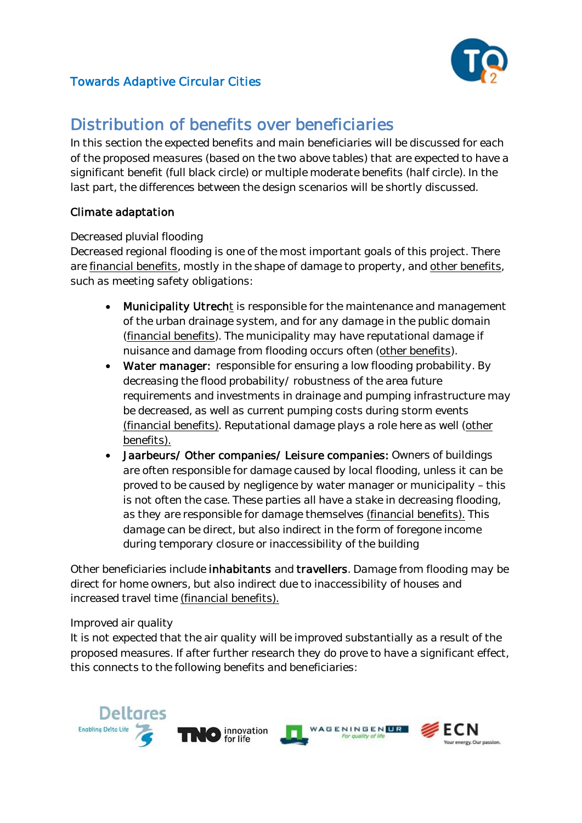

# Distribution of benefits over beneficiaries

In this section the expected benefits and main beneficiaries will be discussed for each of the proposed measures (based on the two above tables) that are expected to have a significant benefit (full black circle) or multiple moderate benefits (half circle). In the last part, the differences between the design scenarios will be shortly discussed.

### Climate adaptation

#### *Decreased pluvial flooding*

Decreased regional flooding is one of the most important goals of this project. There are financial benefits, mostly in the shape of damage to property, and other benefits, such as meeting safety obligations:

- Municipality Utrecht is responsible for the maintenance and management of the urban drainage system, and for any damage in the public domain (financial benefits). The municipality may have reputational damage if nuisance and damage from flooding occurs often (other benefits).
- Water manager: responsible for ensuring a low flooding probability. By decreasing the flood probability/ robustness of the area future requirements and investments in drainage and pumping infrastructure may be decreased, as well as current pumping costs during storm events (financial benefits). Reputational damage plays a role here as well (other benefits).
- Jaarbeurs/ Other companies/ Leisure companies: Owners of buildings are often responsible for damage caused by local flooding, unless it can be proved to be caused by negligence by water manager or municipality – this is not often the case. These parties all have a stake in decreasing flooding, as they are responsible for damage themselves (financial benefits). This damage can be direct, but also indirect in the form of foregone income during temporary closure or inaccessibility of the building

Other beneficiaries include inhabitants and travellers. Damage from flooding may be direct for home owners, but also indirect due to inaccessibility of houses and increased travel time (financial benefits).

#### *Improved air quality*

It is not expected that the air quality will be improved substantially as a result of the proposed measures. If after further research they do prove to have a significant effect, this connects to the following benefits and beneficiaries:

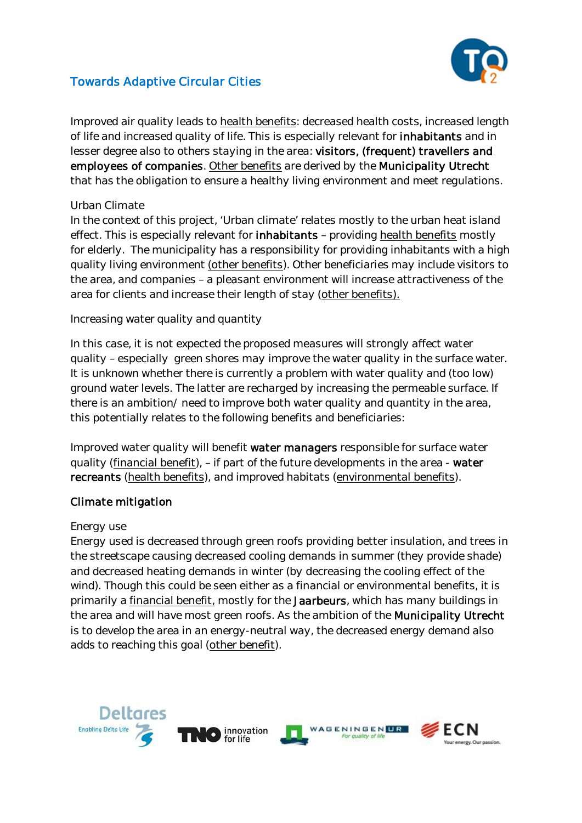

Improved air quality leads to health benefits: decreased health costs, increased length of life and increased quality of life. This is especially relevant for inhabitants and in lesser degree also to others staying in the area: visitors, (frequent) travellers and employees of companies. Other benefits are derived by the Municipality Utrecht that has the obligation to ensure a healthy living environment and meet regulations.

#### *Urban Climate*

In the context of this project, 'Urban climate' relates mostly to the urban heat island effect. This is especially relevant for *inhabitants - providing health benefits mostly* for elderly. The municipality has a responsibility for providing inhabitants with a high quality living environment (other benefits). Other beneficiaries may include visitors to the area, and companies – a pleasant environment will increase attractiveness of the area for clients and increase their length of stay (other benefits).

#### *Increasing water quality and quantity*

In this case, it is not expected the proposed measures will strongly affect water quality – especially green shores may improve the water quality in the surface water. It is unknown whether there is currently a problem with water quality and (too low) ground water levels. The latter are recharged by increasing the permeable surface. If there is an ambition/ need to improve both water quality and quantity in the area, this potentially relates to the following benefits and beneficiaries:

Improved water quality will benefit water managers responsible for surface water quality (financial benefit), – if part of the future developments in the area - water recreants (health benefits), and improved habitats (environmental benefits).

#### Climate mitigation

#### *Energy use*

Energy used is decreased through green roofs providing better insulation, and trees in the streetscape causing decreased cooling demands in summer (they provide shade) and decreased heating demands in winter (by decreasing the cooling effect of the wind). Though this could be seen either as a financial or environmental benefits, it is primarily a financial benefit, mostly for the Jaarbeurs, which has many buildings in the area and will have most green roofs. As the ambition of the Municipality Utrecht is to develop the area in an energy-neutral way, the decreased energy demand also adds to reaching this goal (other benefit).

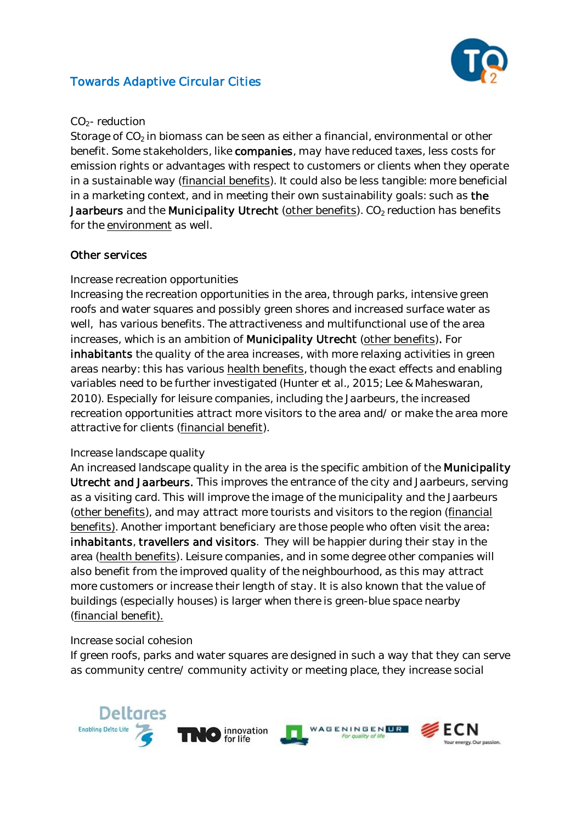

#### *CO2- reduction*

Storage of  $CO<sub>2</sub>$  in biomass can be seen as either a financial, environmental or other benefit. Some stakeholders, like companies, may have reduced taxes, less costs for emission rights or advantages with respect to customers or clients when they operate in a sustainable way (financial benefits). It could also be less tangible: more beneficial in a marketing context, and in meeting their own sustainability goals: such as the Jaarbeurs and the Municipality Utrecht (other benefits).  $CO<sub>2</sub>$  reduction has benefits for the environment as well.

#### Other services

#### *Increase recreation opportunities*

Increasing the recreation opportunities in the area, through parks, intensive green roofs and water squares and possibly green shores and increased surface water as well, has various benefits. The attractiveness and multifunctional use of the area increases, which is an ambition of Municipality Utrecht (other benefits). For inhabitants the quality of the area increases, with more relaxing activities in green areas nearby: this has various health benefits, though the exact effects and enabling variables need to be further investigated (Hunter et al., 2015; Lee & Maheswaran, 2010). Especially for leisure companies, including the Jaarbeurs, the increased recreation opportunities attract more visitors to the area and/ or make the area more attractive for clients (financial benefit).

#### *Increase landscape quality*

An increased landscape quality in the area is the specific ambition of the Municipality Utrecht and Jaarbeurs. This improves the entrance of the city and Jaarbeurs, serving as a visiting card. This will improve the image of the municipality and the Jaarbeurs (other benefits), and may attract more tourists and visitors to the region (financial benefits). Another important beneficiary are those people who often visit the area: inhabitants, travellers and visitors. They will be happier during their stay in the area (health benefits). Leisure companies, and in some degree other companies will also benefit from the improved quality of the neighbourhood, as this may attract more customers or increase their length of stay. It is also known that the value of buildings (especially houses) is larger when there is green-blue space nearby (financial benefit).

#### *Increase social cohesion*

If green roofs, parks and water squares are designed in such a way that they can serve as community centre/ community activity or meeting place, they increase social

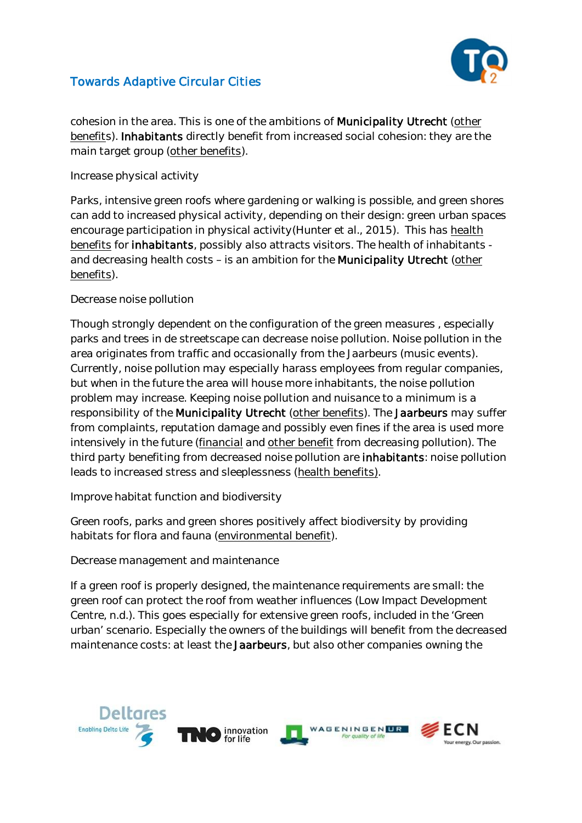

cohesion in the area. This is one of the ambitions of Municipality Utrecht (other benefits). Inhabitants directly benefit from increased social cohesion: they are the main target group (other benefits).

*Increase physical activity*

Parks, intensive green roofs where gardening or walking is possible, and green shores can add to increased physical activity, depending on their design: green urban spaces encourage participation in physical activity(Hunter et al., 2015). This has health benefits for inhabitants, possibly also attracts visitors. The health of inhabitants and decreasing health costs – is an ambition for the Municipality Utrecht (other benefits).

#### *Decrease noise pollution*

Though strongly dependent on the configuration of the green measures , especially parks and trees in de streetscape can decrease noise pollution. Noise pollution in the area originates from traffic and occasionally from the Jaarbeurs (music events). Currently, noise pollution may especially harass employees from regular companies, but when in the future the area will house more inhabitants, the noise pollution problem may increase. Keeping noise pollution and nuisance to a minimum is a responsibility of the Municipality Utrecht (other benefits). The Jaarbeurs may suffer from complaints, reputation damage and possibly even fines if the area is used more intensively in the future (financial and other benefit from decreasing pollution). The third party benefiting from decreased noise pollution are inhabitants: noise pollution leads to increased stress and sleeplessness (health benefits).

*Improve habitat function and biodiversity*

Green roofs, parks and green shores positively affect biodiversity by providing habitats for flora and fauna (environmental benefit).

*Decrease management and maintenance*

If a green roof is properly designed, the maintenance requirements are small: the green roof can protect the roof from weather influences (Low Impact Development Centre, n.d.). This goes especially for extensive green roofs, included in the 'Green urban' scenario. Especially the owners of the buildings will benefit from the decreased maintenance costs: at least the Jaarbeurs, but also other companies owning the

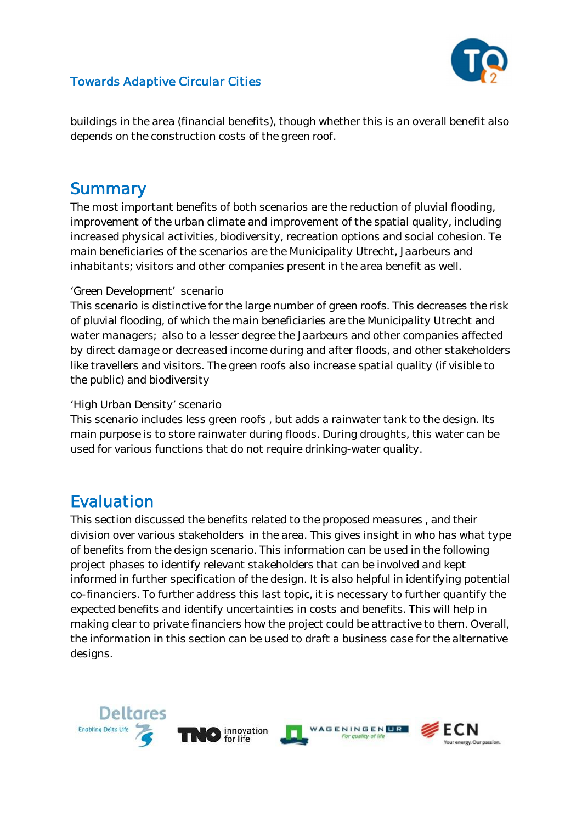

buildings in the area (financial benefits), though whether this is an overall benefit also depends on the construction costs of the green roof.

# **Summary**

The most important benefits of both scenarios are the reduction of pluvial flooding, improvement of the urban climate and improvement of the spatial quality, including increased physical activities, biodiversity, recreation options and social cohesion. Te main beneficiaries of the scenarios are the Municipality Utrecht, Jaarbeurs and inhabitants; visitors and other companies present in the area benefit as well.

#### '*Green Development' scenario*

This scenario is distinctive for the large number of green roofs. This decreases the risk of pluvial flooding, of which the main beneficiaries are the Municipality Utrecht and water managers; also to a lesser degree the Jaarbeurs and other companies affected by direct damage or decreased income during and after floods, and other stakeholders like travellers and visitors. The green roofs also increase spatial quality (if visible to the public) and biodiversity

#### *'High Urban Density' scenario*

This scenario includes less green roofs , but adds a rainwater tank to the design. Its main purpose is to store rainwater during floods. During droughts, this water can be used for various functions that do not require drinking-water quality.

# Evaluation

This section discussed the benefits related to the proposed measures , and their division over various stakeholders in the area. This gives insight in who has what type of benefits from the design scenario. This information can be used in the following project phases to identify relevant stakeholders that can be involved and kept informed in further specification of the design. It is also helpful in identifying potential co-financiers. To further address this last topic, it is necessary to further quantify the expected benefits and identify uncertainties in costs and benefits. This will help in making clear to private financiers how the project could be attractive to them. Overall, the information in this section can be used to draft a business case for the alternative designs.